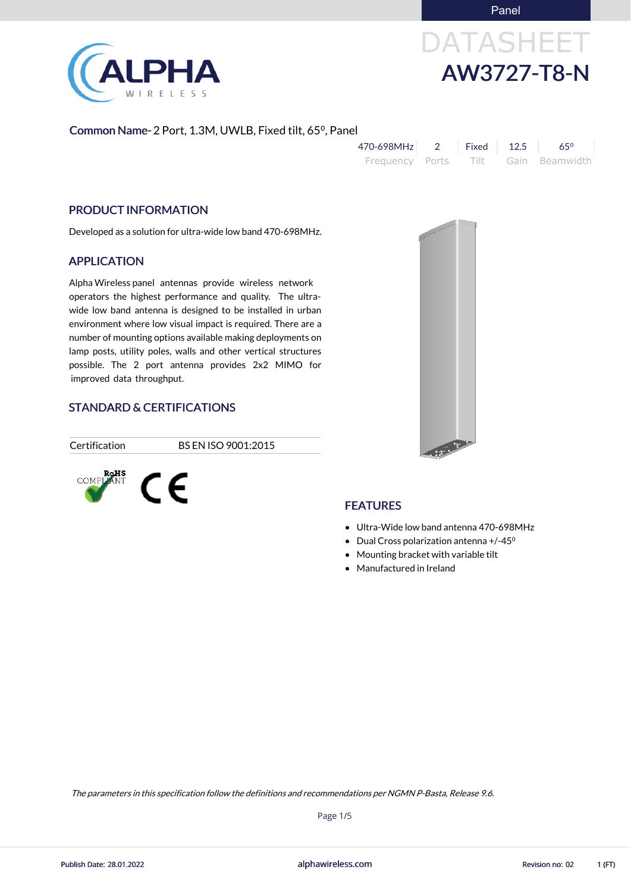Panel



# DATASHEET AW3727-T8-N

### Common Name- 2 Port, 1.3M, UWLB, Fixed tilt, 65⁰, Panel

| 470-698MHz      | Fixed   12.5 | $65^{\circ}$   |
|-----------------|--------------|----------------|
| Frequency Ports | – Tilt       | Gain Beamwidth |

### PRODUCT INFORMATION

Developed as a solution for ultra-wide low band 470-698MHz.

### APPLICATION

Alpha Wireless panel antennas provide wireless network operators the highest performance and quality. The ultrawide low band antenna is designed to be installed in urban environment where low visual impact is required. There are a number of mounting options available making deployments on lamp posts, utility poles, walls and other vertical structures possible. The 2 port antenna provides 2x2 MIMO for improved data throughput.

### STANDARD & CERTIFICATIONS

Certification BS EN ISO 9001:2015





### **FEATURES**

- Ultra-Wide low band antenna 470-698MHz
- Dual Cross polarization antenna +/-45<sup>o</sup>
- Mounting bracket with variable tilt
- Manufactured in Ireland

alphawireless.com

Page 1/5

The parameters in this specification follow the definitions and recommendations per NGMN P-Basta, Release 9.6.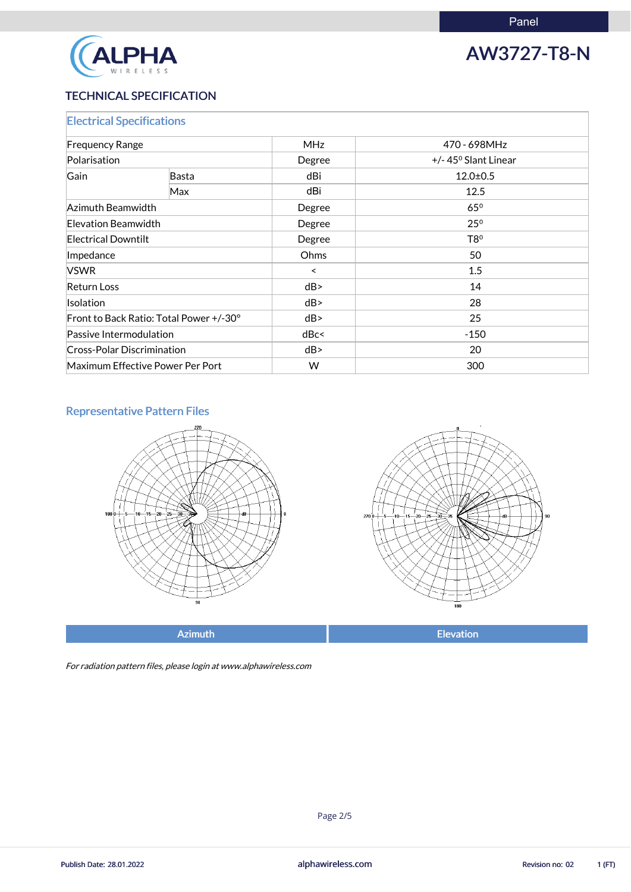

## AW3727-T8-N

### TECHNICAL SPECIFICATION

| <b>Electrical Specifications</b>        |              |            |                                               |
|-----------------------------------------|--------------|------------|-----------------------------------------------|
| <b>Frequency Range</b><br>Polarisation  |              | <b>MHz</b> | 470 - 698MHz<br>$+/- 45^{\circ}$ Slant Linear |
|                                         |              | Degree     |                                               |
| Gain                                    | <b>Basta</b> | dBi        | $12.0 \pm 0.5$                                |
|                                         | Max          | dBi        | 12.5                                          |
| Azimuth Beamwidth                       |              | Degree     | $65^\circ$                                    |
| Elevation Beamwidth                     |              | Degree     | $25^\circ$                                    |
| <b>Electrical Downtilt</b>              |              | Degree     | T8 <sup>o</sup>                               |
| Impedance                               |              | Ohms       | 50                                            |
| <b>VSWR</b>                             |              | $\prec$    | 1.5                                           |
| <b>Return Loss</b>                      |              | dB         | 14                                            |
| <b>Isolation</b>                        |              | dB         | 28                                            |
| Front to Back Ratio: Total Power +/-30° |              | dB         | 25                                            |
| Passive Intermodulation                 |              | dBc<       | $-150$                                        |
| <b>Cross-Polar Discrimination</b>       |              | dB         | 20                                            |
| Maximum Effective Power Per Port        |              | W          | 300                                           |

### Representative Pattern Files





Azimuth **Elevation** 

For radiation pattern files, please login at www.alphawireless.com

alphawireless.com

Publish Date: 28.01.2022 **Revision no: 02** alphawireless.com **Revision no: 02** 1 (FT)

### Page 2/5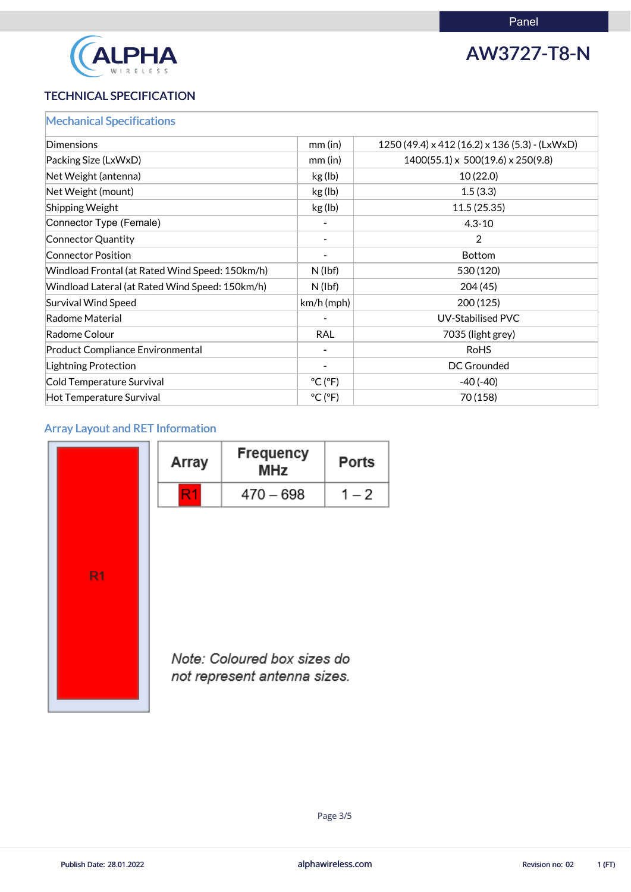

## AW3727-T8-N

### TECHNICAL SPECIFICATION

|  | <b>Mechanical Specifications</b> |  |
|--|----------------------------------|--|
|  |                                  |  |
|  |                                  |  |

| Dimensions                                      | mm(in)                       | 1250 (49.4) x 412 (16.2) x 136 (5.3) - (LxWxD) |
|-------------------------------------------------|------------------------------|------------------------------------------------|
| Packing Size (LxWxD)                            | $mm$ (in)                    | $1400(55.1) \times 500(19.6) \times 250(9.8)$  |
| Net Weight (antenna)                            | kg (lb)                      | 10(22.0)                                       |
| Net Weight (mount)                              | kg (lb)                      | 1.5(3.3)                                       |
| <b>Shipping Weight</b>                          | kg (lb)                      | 11.5(25.35)                                    |
| Connector Type (Female)                         |                              | $4.3 - 10$                                     |
| Connector Quantity                              |                              | $\overline{2}$                                 |
| <b>Connector Position</b>                       |                              | <b>Bottom</b>                                  |
| Windload Frontal (at Rated Wind Speed: 150km/h) | $N$ (lbf)                    | 530 (120)                                      |
| Windload Lateral (at Rated Wind Speed: 150km/h) | $N$ (lbf)                    | 204(45)                                        |
| <b>Survival Wind Speed</b>                      | $km/h$ (mph)                 | 200(125)                                       |
| Radome Material                                 |                              | <b>UV-Stabilised PVC</b>                       |
| Radome Colour                                   | <b>RAL</b>                   | 7035 (light grey)                              |
| <b>Product Compliance Environmental</b>         |                              | <b>RoHS</b>                                    |
| Lightning Protection                            |                              | <b>DC Grounded</b>                             |
| Cold Temperature Survival                       | $^{\circ}$ C ( $^{\circ}$ F) | $-40(-40)$                                     |
| Hot Temperature Survival                        | $^{\circ}$ C ( $^{\circ}$ F) | 70 (158)                                       |

## Array Layout and RET Information

|                | Array | <b>Frequency</b><br><b>MHz</b>                             | <b>Ports</b> |
|----------------|-------|------------------------------------------------------------|--------------|
|                | R1    | $470 - 698$                                                | $1 - 2$      |
|                |       |                                                            |              |
|                |       |                                                            |              |
| R <sub>1</sub> |       |                                                            |              |
|                |       |                                                            |              |
|                |       |                                                            |              |
|                |       | Note: Coloured box sizes do<br>not represent entenne sizes |              |



not represent antenna sizes.

alphawireless.com

Publish Date: 28.01.2022 **Revision no: 02** alphawireless.com **Revision no: 02** 1 (FT)

Page 3/5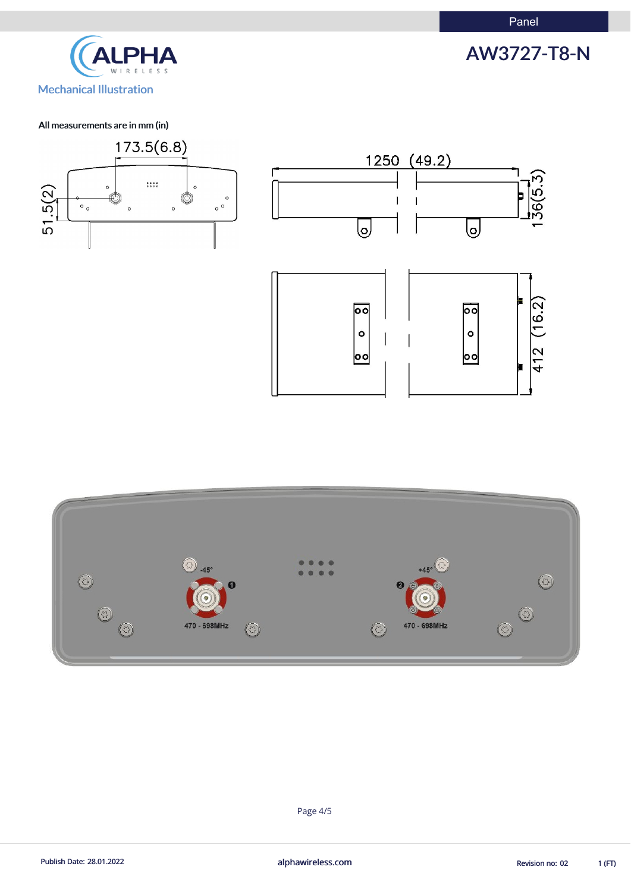AW3727-T8-N



### All measurements are in mm (in)





Page 4/5